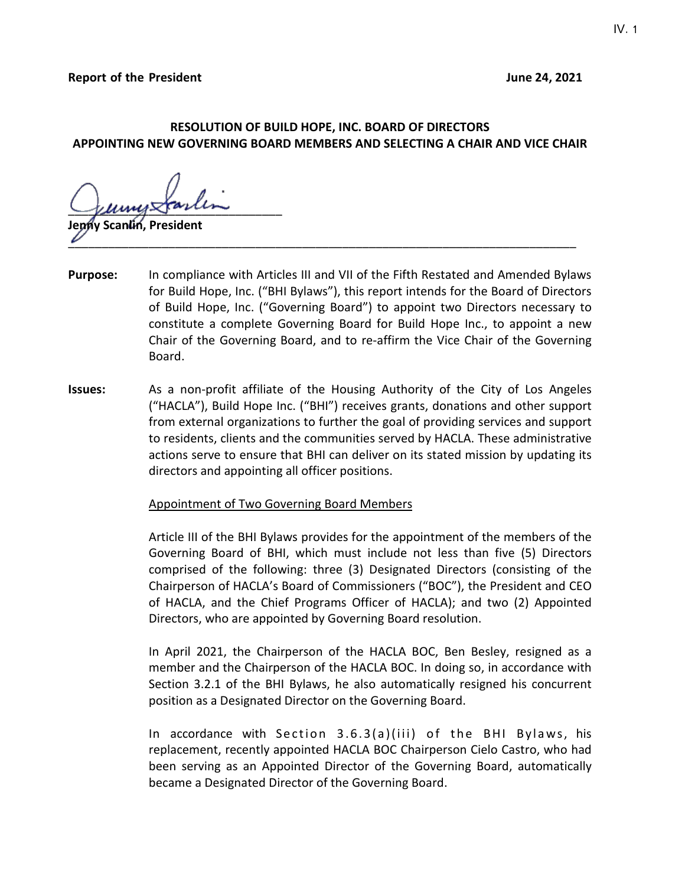## **RESOLUTION OF BUILD HOPE, INC. BOARD OF DIRECTORS APPOINTING NEW GOVERNING BOARD MEMBERS AND SELECTING A CHAIR AND VICE CHAIR**

 $\Box$ 

**Jenny Scanlin, President**  $\overline{\nu}$  , and the contract of the contract of the contract of the contract of the contract of the contract of the contract of the contract of the contract of the contract of the contract of the contract of the contract o

- **Purpose:** In compliance with Articles III and VII of the Fifth Restated and Amended Bylaws for Build Hope, Inc. ("BHI Bylaws"), this report intends for the Board of Directors of Build Hope, Inc. ("Governing Board") to appoint two Directors necessary to constitute a complete Governing Board for Build Hope Inc., to appoint a new Chair of the Governing Board, and to re-affirm the Vice Chair of the Governing Board.
- **Issues:** As a non-profit affiliate of the Housing Authority of the City of Los Angeles ("HACLA"), Build Hope Inc. ("BHI") receives grants, donations and other support from external organizations to further the goal of providing services and support to residents, clients and the communities served by HACLA. These administrative actions serve to ensure that BHI can deliver on its stated mission by updating its directors and appointing all officer positions.

## Appointment of Two Governing Board Members

Article III of the BHI Bylaws provides for the appointment of the members of the Governing Board of BHI, which must include not less than five (5) Directors comprised of the following: three (3) Designated Directors (consisting of the Chairperson of HACLA's Board of Commissioners ("BOC"), the President and CEO of HACLA, and the Chief Programs Officer of HACLA); and two (2) Appointed Directors, who are appointed by Governing Board resolution.

In April 2021, the Chairperson of the HACLA BOC, Ben Besley, resigned as a member and the Chairperson of the HACLA BOC. In doing so, in accordance with Section 3.2.1 of the BHI Bylaws, he also automatically resigned his concurrent position as a Designated Director on the Governing Board.

In accordance with Section 3.6.3(a)(iii) of the BHI Bylaws, his replacement, recently appointed HACLA BOC Chairperson Cielo Castro, who had been serving as an Appointed Director of the Governing Board, automatically became a Designated Director of the Governing Board.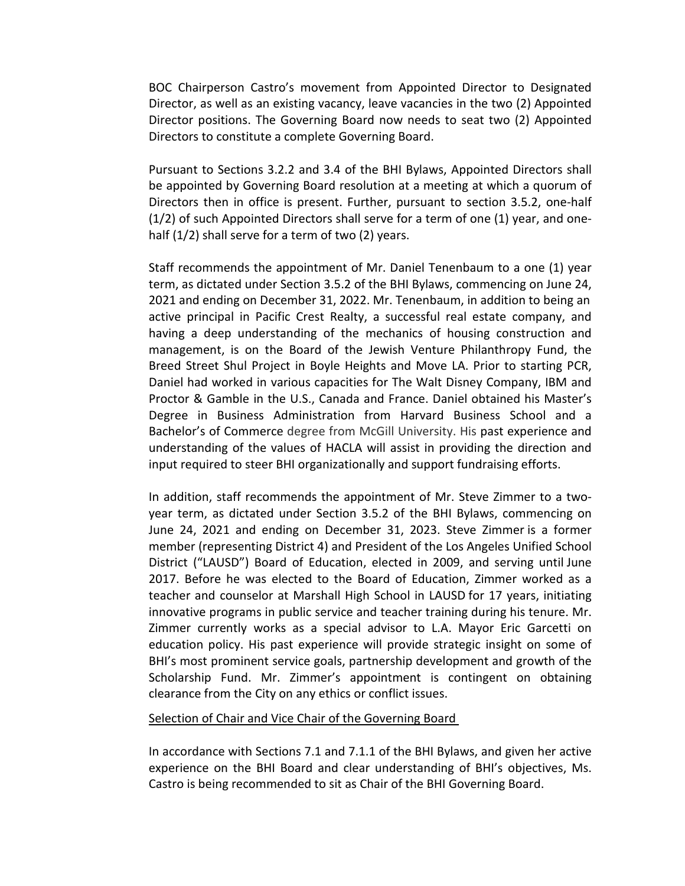BOC Chairperson Castro's movement from Appointed Director to Designated Director, as well as an existing vacancy, leave vacancies in the two (2) Appointed Director positions. The Governing Board now needs to seat two (2) Appointed Directors to constitute a complete Governing Board.

Pursuant to Sections 3.2.2 and 3.4 of the BHI Bylaws, Appointed Directors shall be appointed by Governing Board resolution at a meeting at which a quorum of Directors then in office is present. Further, pursuant to section 3.5.2, one-half  $(1/2)$  of such Appointed Directors shall serve for a term of one  $(1)$  year, and onehalf (1/2) shall serve for a term of two (2) years.

Staff recommends the appointment of Mr. Daniel Tenenbaum to a one (1) year term, as dictated under Section 3.5.2 of the BHI Bylaws, commencing on June 24, 2021 and ending on December 31, 2022. Mr. Tenenbaum, in addition to being an active principal in Pacific Crest Realty, a successful real estate company, and having a deep understanding of the mechanics of housing construction and management, is on the Board of the Jewish Venture Philanthropy Fund, the Breed Street Shul Project in Boyle Heights and Move LA. Prior to starting PCR, Daniel had worked in various capacities for The Walt Disney Company, IBM and Proctor & Gamble in the U.S., Canada and France. Daniel obtained his Master's Degree in Business Administration from Harvard Business School and a Bachelor's of Commerce degree from McGill University. His past experience and understanding of the values of HACLA will assist in providing the direction and input required to steer BHI organizationally and support fundraising efforts.

In addition, staff recommends the appointment of Mr. Steve Zimmer to a twoyear term, as dictated under Section 3.5.2 of the BHI Bylaws, commencing on June 24, 2021 and ending on December 31, 2023. Steve Zimmer is a former member (representing District 4) and President of the Los Angeles Unified School District ("LAUSD") Board of Education, elected in 2009, and serving until June 2017. Before he was elected to the Board of Education, Zimmer worked as a teacher and counselor at Marshall High School in LAUSD for 17 years, initiating innovative programs in public service and teacher training during his tenure. Mr. Zimmer currently works as a special advisor to L.A. Mayor Eric Garcetti on education policy. His past experience will provide strategic insight on some of BHI's most prominent service goals, partnership development and growth of the Scholarship Fund. Mr. Zimmer's appointment is contingent on obtaining clearance from the City on any ethics or conflict issues.

Selection of Chair and Vice Chair of the Governing Board

In accordance with Sections 7.1 and 7.1.1 of the BHI Bylaws, and given her active experience on the BHI Board and clear understanding of BHI's objectives, Ms. Castro is being recommended to sit as Chair of the BHI Governing Board.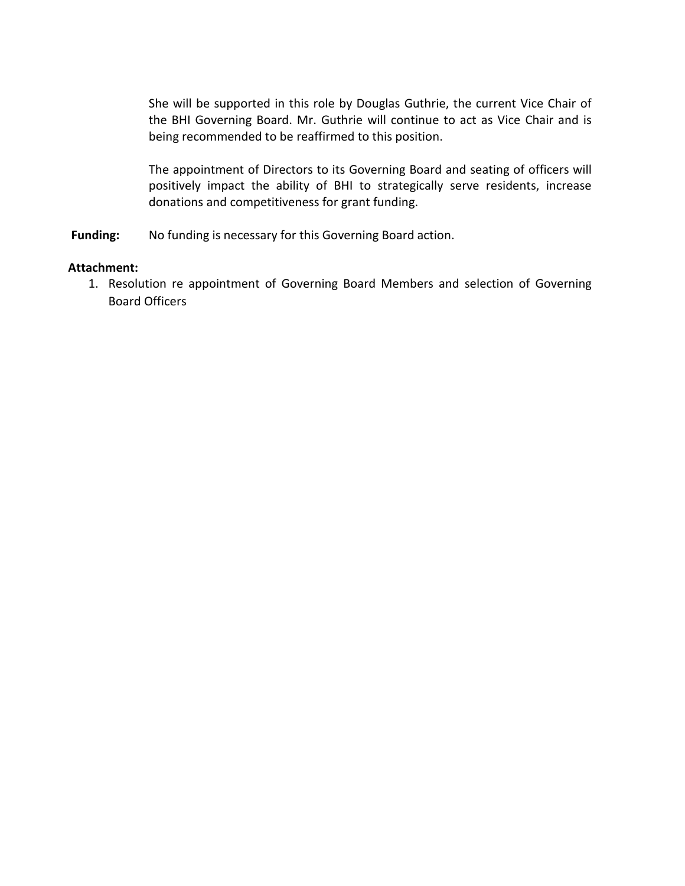She will be supported in this role by Douglas Guthrie, the current Vice Chair of the BHI Governing Board. Mr. Guthrie will continue to act as Vice Chair and is being recommended to be reaffirmed to this position.

The appointment of Directors to its Governing Board and seating of officers will positively impact the ability of BHI to strategically serve residents, increase donations and competitiveness for grant funding.

Funding: No funding is necessary for this Governing Board action.

#### **Attachment:**

1. Resolution re appointment of Governing Board Members and selection of Governing Board Officers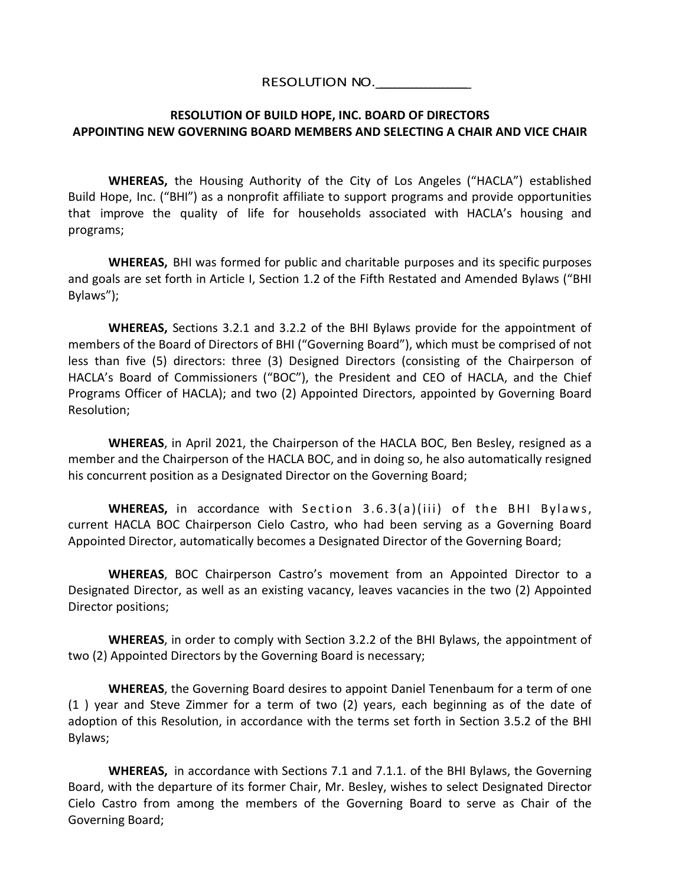## RESOLUTION NO.

# **RESOLUTION OF BUILD HOPE, INC. BOARD OF DIRECTORS APPOINTING NEW GOVERNING BOARD MEMBERS AND SELECTING A CHAIR AND VICE CHAIR**

**WHEREAS,** the Housing Authority of the City of Los Angeles ("HACLA") established Build Hope, Inc. ("BHI") as a nonprofit affiliate to support programs and provide opportunities that improve the quality of life for households associated with HACLA's housing and programs;

**WHEREAS,** BHI was formed for public and charitable purposes and its specific purposes and goals are set forth in Article I, Section 1.2 of the Fifth Restated and Amended Bylaws ("BHI Bylaws");

**WHEREAS,** Sections 3.2.1 and 3.2.2 of the BHI Bylaws provide for the appointment of members of the Board of Directors of BHI ("Governing Board"), which must be comprised of not less than five (5) directors: three (3) Designed Directors (consisting of the Chairperson of HACLA's Board of Commissioners ("BOC"), the President and CEO of HACLA, and the Chief Programs Officer of HACLA); and two (2) Appointed Directors, appointed by Governing Board Resolution;

**WHEREAS**, in April 2021, the Chairperson of the HACLA BOC, Ben Besley, resigned as a member and the Chairperson of the HACLA BOC, and in doing so, he also automatically resigned his concurrent position as a Designated Director on the Governing Board;

**WHEREAS,** in accordance with Section 3.6.3(a)(iii) of the BHI Bylaws, current HACLA BOC Chairperson Cielo Castro, who had been serving as a Governing Board Appointed Director, automatically becomes a Designated Director of the Governing Board;

**WHEREAS**, BOC Chairperson Castro's movement from an Appointed Director to a Designated Director, as well as an existing vacancy, leaves vacancies in the two (2) Appointed Director positions;

**WHEREAS**, in order to comply with Section 3.2.2 of the BHI Bylaws, the appointment of two (2) Appointed Directors by the Governing Board is necessary;

**WHEREAS**, the Governing Board desires to appoint Daniel Tenenbaum for a term of one (1 ) year and Steve Zimmer for a term of two (2) years, each beginning as of the date of adoption of this Resolution, in accordance with the terms set forth in Section 3.5.2 of the BHI Bylaws;

**WHEREAS,** in accordance with Sections 7.1 and 7.1.1. of the BHI Bylaws, the Governing Board, with the departure of its former Chair, Mr. Besley, wishes to select Designated Director Cielo Castro from among the members of the Governing Board to serve as Chair of the Governing Board;